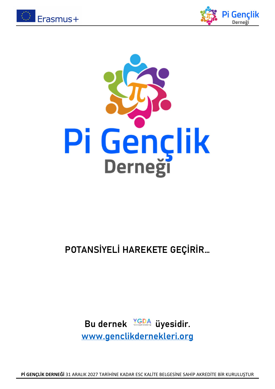





# POTANSİYELİ HAREKETE GEÇİRİR…

Bu dernek VGDA üyesidir. www.genclikdernekleri.org

Pİ GENÇLİK DERNEĞİ 31 ARALIK 2027 TARİHİNE KADAR ESC KALİTE BELGESİNE SAHİP AKREDİTE BİR KURULUŞTUR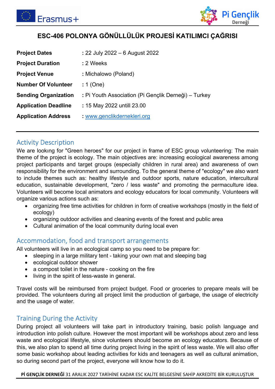



### ESC-406 POLONYA GÖNÜLLÜLÜK PROJESİ KATILIMCI ÇAĞRISI

| <b>Project Dates</b>        | : 22 July 2022 – 6 August 2022                       |
|-----------------------------|------------------------------------------------------|
| <b>Project Duration</b>     | : 2 Weeks                                            |
| <b>Project Venue</b>        | : Michalowo (Poland)                                 |
| <b>Number Of Volunteer</b>  | : 1 (One)                                            |
| <b>Sending Organization</b> | : Pi Youth Association (Pi Gençlik Derneği) – Turkey |
| <b>Application Deadline</b> | : 15 May 2022 untill 23.00                           |
| <b>Application Address</b>  | : www.genclikdernekleri.org                          |

#### Activity Description

We are lookıng for "Green heroes" for our project in frame of ESC group volunteering: The main theme of the project is ecology. The main objectives are: increasing ecological awareness among project participants and target groups (especially children in rural area) and awareness of own responsibility for the environment and surrounding. To the general theme of "ecology" we also want to include themes such as: healthy lifestyle and outdoor sports, nature education, intercultural education, sustainable development, "zero / less waste" and promoting the permaculture idea. Volunteers will become local animators and ecology educators for local community. Volunteers will organize various actions such as:

- organizing free time activities for children in form of creative workshops (mostly in the field of ecology)
- organizing outdoor activities and cleaning events of the forest and public area
- Cultural animation of the local community during local even

#### Accommodation, food and transport arrangements

All volunteers will live in an ecological camp so you need to be prepare for:

- sleeping in a large military tent taking your own mat and sleeping bag
- ecological outdoor shower
- a compost toilet in the nature cooking on the fire
- living in the spirit of less-waste in general.

Travel costs will be reimbursed from project budget. Food or groceries to prepare meals will be provided. The volunteers during all project limit the production of garbage, the usage of electricity and the usage of water.

#### Training During the Activity

During project all volunteers will take part in introductory training, basic polish language and introduction into polish culture. However the most important will be workshops about zero and less waste and ecological lifestyle, since volunteers should become an ecology educators. Because of this, we also plan to spend all time during project living in the spirit of less waste. We will also offer some basic workshop about leading activities for kids and teenagers as well as cultural animation, so during second part of the project, everyone will know how to do it.

Pİ GENÇLİK DERNEĞİ 31 ARALIK 2027 TARİHİNE KADAR ESC KALİTE BELGESİNE SAHİP AKREDİTE BİR KURULUŞTUR